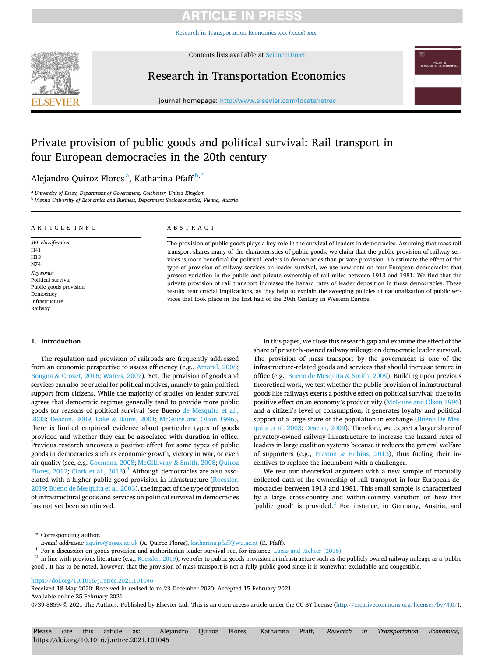# ARTICLE IN PRE

[Research in Transportation Economics xxx \(xxxx\) xxx](https://doi.org/10.1016/j.retrec.2021.101046)



Contents lists available at [ScienceDirect](www.sciencedirect.com/science/journal/07398859)

# Research in Transportation Economics



journal homepage: [http://www.elsevier.com/locate/retrec](https://http://www.elsevier.com/locate/retrec) 

# Private provision of public goods and political survival: Rail transport in four European democracies in the 20th century

# Alejandro Quiroz Flores<sup>a</sup>, Katharina Pfaff<sup>b,\*</sup>

<sup>a</sup> *University of Essex, Department of Government, Colchester, United Kingdom* 

<sup>b</sup> *Vienna University of Economics and Business, Department Socioeconomics, Vienna, Austria* 

| ARTICLE INFO           | ABSTRACT                                                                                                            |
|------------------------|---------------------------------------------------------------------------------------------------------------------|
| JEL classification:    | The provision of public goods plays a key role in the survival of leaders in democracies. Assuming that mass rail   |
| H41                    | transport shares many of the characteristics of public goods, we claim that the public provision of railway ser-    |
| H13                    | vices is more beneficial for political leaders in democracies than private provision. To estimate the effect of the |
| N74                    | type of provision of railway services on leader survival, we use new data on four European democracies that         |
| Keywords:              | present variation in the public and private ownership of rail miles between 1913 and 1981. We find that the         |
| Political survival     | private provision of rail transport increases the hazard rates of leader deposition in these democracies. These     |
| Public goods provision |                                                                                                                     |
| Democracy              | results bear crucial implications, as they help to explain the sweeping policies of nationalization of public ser-  |
| Infrastructure         | vices that took place in the first half of the 20th Century in Western Europe.                                      |
| Railway                |                                                                                                                     |

### **1. Introduction**

The regulation and provision of railroads are frequently addressed from an economic perspective to assess efficiency (e.g., [Amaral, 2008](#page-9-0); Bougna & [Crozet, 2016;](#page-9-0) [Waters, 2007](#page-10-0)). Yet, the provision of goods and services can also be crucial for political motives, namely to gain political support from citizens. While the majority of studies on leader survival agrees that democratic regimes generally tend to provide more public goods for reasons of political survival (see Bueno [de Mesquita et al.,](#page-9-0)  [2003;](#page-9-0) [Deacon, 2009](#page-9-0); Lake & [Baum, 2001;](#page-9-0) [McGuire and Olson 1996](#page-9-0)), there is limited empirical evidence about particular types of goods provided and whether they can be associated with duration in office. Previous research uncovers a positive effect for some types of public goods in democracies such as economic growth, victory in war, or even air quality (see, e.g. [Goemans, 2008](#page-9-0); [McGillivray](#page-9-0) & Smith, 2008; [Quiroz](#page-9-0)  [Flores, 2012; Clark et al., 2013](#page-9-0)).<sup>1</sup> Although democracies are also associated with a higher public good provision in infrastructure [\(Roessler,](#page-10-0)  [2019;](#page-10-0) [Bueno de Mesquita et al. 2003](#page-9-0)), the impact of the type of provision of infrastructural goods and services on political survival in democracies has not yet been scrutinized.

In this paper, we close this research gap and examine the effect of the share of privately-owned railway mileage on democratic leader survival. The provision of mass transport by the government is one of the infrastructure-related goods and services that should increase tenure in office (e.g., [Bueno de Mesquita](#page-9-0) & Smith, 2009). Building upon previous theoretical work, we test whether the public provision of infrastructural goods like railways exerts a positive effect on political survival: due to its positive effect on an economy's productivity [\(McGuire and Olson 1996\)](#page-9-0) and a citizen's level of consumption, it generates loyalty and political support of a large share of the population in exchange ([Bueno De Mes](#page-9-0)[quita et al. 2003](#page-9-0); [Deacon, 2009](#page-9-0)). Therefore, we expect a larger share of privately-owned railway infrastructure to increase the hazard rates of leaders in large coalition systems because it reduces the general welfare of supporters (e.g., Preston & [Robins, 2013](#page-9-0)), thus fueling their incentives to replace the incumbent with a challenger.

We test our theoretical argument with a new sample of manually collected data of the ownership of rail transport in four European democracies between 1913 and 1981. This small sample is characterized by a large cross-country and within-country variation on how this 'public good' is provided.<sup>2</sup> For instance, in Germany, Austria, and

\* Corresponding author.

<https://doi.org/10.1016/j.retrec.2021.101046>

Available online 25 February 2021 0739-8859/© 2021 The Authors. Published by Elsevier Ltd. This is an open access article under the CC BY license [\(http://creativecommons.org/licenses/by/4.0/\)](http://creativecommons.org/licenses/by/4.0/). Received 18 May 2020; Received in revised form 23 December 2020; Accepted 15 February 2021

Please cite this article as: Alejandro Quiroz Flores, Katharina Pfaff, *Research in Transportation Economics*, https://doi.org/10.1016/j.retrec.2021.101046

*E-mail addresses: aquiro@essex.ac.uk* (A. Quiroz Flores), [katharina.pfaff@wu.ac.at](mailto:katharina.pfaff@wu.ac.at) (K. Pfaff).<br><sup>1</sup> For a discussion on goods provision and authoritarian leader survival see, for instance, [Lucas and Richter \(2016\)](#page-9-0).<br><sup>2</sup> In good'. It has to be noted, however, that the provision of mass transport is not a fully public good since it is somewhat excludable and congestible.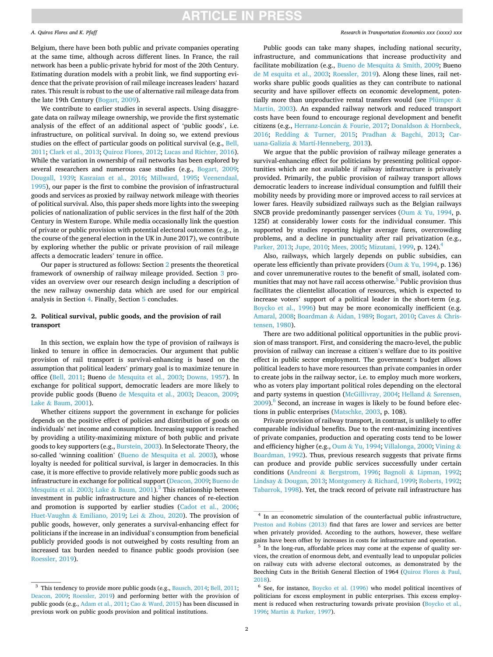# **ARTICLE IN PRESS**

#### *A. Quiroz Flores and K. Pfaff*

Belgium, there have been both public and private companies operating at the same time, although across different lines. In France, the rail network has been a public-private hybrid for most of the 20th Century. Estimating duration models with a probit link, we find supporting evidence that the private provision of rail mileage increases leaders' hazard rates. This result is robust to the use of alternative rail mileage data from the late 19th Century ([Bogart, 2009](#page-9-0)).

We contribute to earlier studies in several aspects. Using disaggregate data on railway mileage ownership, we provide the first systematic analysis of the effect of an additional aspect of 'public goods', i.e. infrastructure, on political survival. In doing so, we extend previous studies on the effect of particular goods on political survival (e.g., [Bell,](#page-9-0)  [2011; Clark et al., 2013](#page-9-0); [Quiroz Flores, 2012](#page-9-0); [Lucas and Richter, 2016](#page-9-0)). While the variation in ownership of rail networks has been explored by several researchers and numerous case studies (e.g., [Bogart, 2009](#page-9-0); [Dougall, 1939;](#page-9-0) [Kasraian et al., 2016](#page-9-0); [Millward, 1995;](#page-9-0) [Veenendaal,](#page-10-0)  [1995\)](#page-10-0), our paper is the first to combine the provision of infrastructural goods and services as proxied by railway network mileage with theories of political survival. Also, this paper sheds more lights into the sweeping policies of nationalization of public services in the first half of the 20th Century in Western Europe. While media occasionally link the question of private or public provision with potential electoral outcomes (e.g., in the course of the general election in the UK in June 2017), we contribute by exploring whether the public or private provision of rail mileage affects a democratic leaders' tenure in office.

Our paper is structured as follows: Section 2 presents the theoretical framework of ownership of railway mileage provided. Section [3](#page-2-0) provides an overview over our research design including a description of the new railway ownership data which are used for our empirical analysis in Section [4.](#page-4-0) Finally, Section [5](#page-5-0) concludes.

### **2. Political survival, public goods, and the provision of rail transport**

In this section, we explain how the type of provision of railways is linked to tenure in office in democracies. Our argument that public provision of rail transport is survival-enhancing is based on the assumption that political leaders' primary goal is to maximize tenure in office [\(Bell, 2011](#page-9-0); Bueno [de Mesquita et al., 2003](#page-9-0); [Downs, 1957](#page-9-0)). In exchange for political support, democratic leaders are more likely to provide public goods (Bueno [de Mesquita et al., 2003;](#page-9-0) [Deacon, 2009](#page-9-0); Lake & [Baum, 2001\)](#page-9-0).

Whether citizens support the government in exchange for policies depends on the positive effect of policies and distribution of goods on individuals' net income and consumption. Increasing support is reached by providing a utility-maximizing mixture of both public and private goods to key supporters (e.g., [Burstein, 2003](#page-9-0)). In Selectorate Theory, the so-called 'winning coalition' ([Bueno de Mesquita et al. 2003\)](#page-9-0), whose loyalty is needed for political survival, is larger in democracies. In this case, it is more effective to provide relatively more public goods such as infrastructure in exchange for political support ([Deacon, 2009; Bueno de](#page-9-0)  [Mesquita et al. 2003;](#page-9-0) Lake & [Baum, 2001\)](#page-9-0).<sup>3</sup> This relationship between investment in public infrastructure and higher chances of re-election and promotion is supported by earlier studies [\(Cadot et al., 2006](#page-9-0); Huet-Vaughn & [Emiliano, 2019;](#page-9-0) Lei & [Zhou, 2020](#page-9-0)). The provision of public goods, however, only generates a survival-enhancing effect for politicians if the increase in an individual's consumption from beneficial publicly provided goods is not outweighed by costs resulting from an increased tax burden needed to finance public goods provision (see [Roessler, 2019](#page-10-0)).

#### *Research in Transportation Economics xxx (xxxx) xxx*

Public goods can take many shapes, including national security, infrastructure, and communications that increase productivity and facilitate mobilization (e.g., [Bueno de Mesquita](#page-9-0) & Smith, 2009; Bueno [de M esquita et al., 2003](#page-9-0); [Roessler, 2019\)](#page-10-0). Along these lines, rail networks share public goods qualities as they can contribute to national security and have spillover effects on economic development, poten-tially more than unproductive rental transfers would (see [Plümper](#page-9-0)  $\&$ [Martin, 2003](#page-9-0)). An expanded railway network and reduced transport costs have been found to encourage regional development and benefit citizens (e.g., [Herranz-Lonc](#page-9-0)án & Fourie, 2017; [Donaldson](#page-9-0) & Hornbeck, [2016;](#page-9-0) Redding & [Turner, 2015;](#page-10-0) Pradhan & [Bagchi, 2013;](#page-9-0) [Car](#page-9-0)uana-Galizia & [Martí-Henneberg, 2013\)](#page-9-0).

We argue that the public provision of railway mileage generates a survival-enhancing effect for politicians by presenting political opportunities which are not available if railway infrastructure is privately provided. Primarily, the public provision of railway transport allows democratic leaders to increase individual consumption and fulfill their mobility needs by providing more or improved access to rail services at lower fares. Heavily subsidized railways such as the Belgian railways SNCB provide predominantly passenger services (Oum & [Yu, 1994,](#page-9-0) p. 125f) at considerably lower costs for the individual consumer. This supported by studies reporting higher average fares, overcrowding problems, and a decline in punctuality after rail privatization (e.g., [Parker, 2013](#page-9-0); [Jupe, 2010](#page-9-0); [Mees, 2005](#page-9-0); [Mizutani, 1999,](#page-9-0) p. 124).4

Also, railways, which largely depends on public subsidies, can operate less efficiently than private providers (Oum  $&$  [Yu, 1994](#page-9-0), p. 136) and cover unremunerative routes to the benefit of small, isolated communities that may not have rail access otherwise.<sup>5</sup> Public provision thus facilitates the clientelist allocation of resources, which is expected to increase voters' support of a political leader in the short-term (e.g. [Boycko et al., 1996](#page-9-0)) but may be more economically inefficient (e.g. [Amaral, 2008;](#page-9-0) Boardman & [Aidan, 1989](#page-9-0); [Bogart, 2010; Caves](#page-9-0) & Chris[tensen, 1980\)](#page-9-0).

There are two additional political opportunities in the public provision of mass transport. First, and considering the macro-level, the public provision of railway can increase a citizen's welfare due to its positive effect in public sector employment. The government's budget allows political leaders to have more resources than private companies in order to create jobs in the railway sector, i.e. to employ much more workers, who as voters play important political roles depending on the electoral and party systems in question [\(McGillivray, 2004](#page-9-0); [Helland](#page-9-0)  $&$  Sørensen,  $2009$ <sup>6</sup>. Second, an increase in wages is likely to be found before elections in public enterprises ([Matschke, 2003](#page-9-0), p. 108).

Private provision of railway transport, in contrast, is unlikely to offer comparable individual benefits. Due to the rent-maximizing incentives of private companies, production and operating costs tend to be lower and efficiency higher (e.g., Oum & [Yu, 1994](#page-9-0); [Villalonga, 2000](#page-10-0); [Vining](#page-10-0) & [Boardman, 1992\)](#page-10-0). Thus, previous research suggests that private firms can produce and provide public services successfully under certain conditions (Andreoni & [Bergstrom, 1996;](#page-9-0) Bagnoli & [Lipman, 1992](#page-9-0); Lindsay & [Dougan, 2013](#page-9-0); Montgomery & [Richard, 1999](#page-9-0); [Roberts, 1992](#page-10-0); [Tabarrok, 1998](#page-10-0)). Yet, the track record of private rail infrastructure has

<sup>&</sup>lt;sup>3</sup> This tendency to provide more public goods (e.g., [Bausch, 2014; Bell, 2011;](#page-9-0) [Deacon, 2009;](#page-9-0) [Roessler, 2019\)](#page-10-0) and performing better with the provision of public goods (e.g., [Adam et al., 2011;](#page-9-0) Cao & [Ward, 2015\)](#page-9-0) has been discussed in previous work on public goods provision and political institutions.

<sup>&</sup>lt;sup>4</sup> In an econometric simulation of the counterfactual public infrastructure, [Preston and Robins \(2013\)](#page-9-0) find that fares are lower and services are better when privately provided. According to the authors, however, these welfare gains have been offset by increases in costs for infrastructure and operation.

 $5$  In the long-run, affordable prices may come at the expense of quality services, the creation of enormous debt, and eventually lead to unpopular policies on railway cuts with adverse electoral outcomes, as demonstrated by the Beeching Cuts in the British General Election of 1964 [\(Quiroz Flores](#page-9-0) & Paul,

[<sup>2018\)</sup>](#page-9-0). 6 See, for instance, [Boycko et al. \(1996\)](#page-9-0) who model political incentives of politicians for excess employment in public enterprises. This excess employment is reduced when restructuring towards private provision [\(Boycko et al.,](#page-9-0)  [1996;](#page-9-0) Martin & [Parker, 1997](#page-9-0)).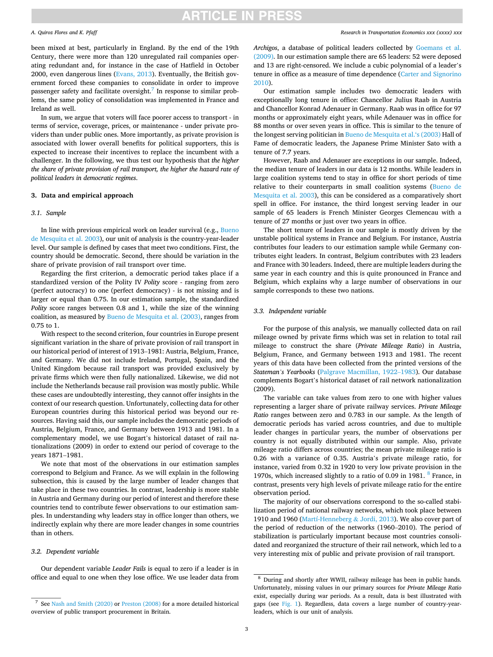#### <span id="page-2-0"></span>*A. Quiroz Flores and K. Pfaff*

been mixed at best, particularly in England. By the end of the 19th Century, there were more than 120 unregulated rail companies operating redundant and, for instance in the case of Hatfield in October 2000, even dangerous lines [\(Evans, 2013\)](#page-9-0). Eventually, the British government forced these companies to consolidate in order to improve passenger safety and facilitate oversight.<sup>7</sup> In response to similar problems, the same policy of consolidation was implemented in France and Ireland as well.

In sum, we argue that voters will face poorer access to transport - in terms of service, coverage, prices, or maintenance - under private providers than under public ones. More importantly, as private provision is associated with lower overall benefits for political supporters, this is expected to increase their incentives to replace the incumbent with a challenger. In the following, we thus test our hypothesis that *the higher the share of private provision of rail transport, the higher the hazard rate of political leaders in democratic regimes*.

### **3. Data and empirical approach**

### *3.1. Sample*

In line with previous empirical work on leader survival (e.g., [Bueno](#page-9-0)  [de Mesquita et al. 2003](#page-9-0)), our unit of analysis is the country-year-leader level. Our sample is defined by cases that meet two conditions. First, the country should be democratic. Second, there should be variation in the share of private provision of rail transport over time.

Regarding the first criterion, a democratic period takes place if a standardized version of the Polity IV *Polity* score - ranging from zero (perfect autocracy) to one (perfect democracy) - is not missing and is larger or equal than 0.75. In our estimation sample, the standardized *Polity* score ranges between 0.8 and 1, while the size of the winning coalition, as measured by [Bueno de Mesquita et al. \(2003\)](#page-9-0), ranges from 0.75 to 1.

With respect to the second criterion, four countries in Europe present significant variation in the share of private provision of rail transport in our historical period of interest of 1913–1981: Austria, Belgium, France, and Germany. We did not include Ireland, Portugal, Spain, and the United Kingdom because rail transport was provided exclusively by private firms which were then fully nationalized. Likewise, we did not include the Netherlands because rail provision was mostly public. While these cases are undoubtedly interesting, they cannot offer insights in the context of our research question. Unfortunately, collecting data for other European countries during this historical period was beyond our resources. Having said this, our sample includes the democratic periods of Austria, Belgium, France, and Germany between 1913 and 1981. In a complementary model, we use Bogart's historical dataset of rail nationalizations (2009) in order to extend our period of coverage to the years 1871–1981.

We note that most of the observations in our estimation samples correspond to Belgium and France. As we will explain in the following subsection, this is caused by the large number of leader changes that take place in these two countries. In contrast, leadership is more stable in Austria and Germany during our period of interest and therefore these countries tend to contribute fewer observations to our estimation samples. In understanding why leaders stay in office longer than others, we indirectly explain why there are more leader changes in some countries than in others.

#### *3.2. Dependent variable*

Our dependent variable *Leader Fails* is equal to zero if a leader is in office and equal to one when they lose office. We use leader data from *Archigos*, a database of political leaders collected by [Goemans et al.](#page-9-0)  [\(2009\).](#page-9-0) In our estimation sample there are 65 leaders: 52 were deposed and 13 are right-censored. We include a cubic polynomial of a leader's tenure in office as a measure of time dependence [\(Carter and Signorino](#page-9-0)  [2010\)](#page-9-0).

Our estimation sample includes two democratic leaders with exceptionally long tenure in office: Chancellor Julius Raab in Austria and Chancellor Konrad Adenauer in Germany. Raab was in office for 97 months or approximately eight years, while Adenauer was in office for 88 months or over seven years in office. This is similar to the tenure of the longest serving politician in [Bueno de Mesquita et al.'s \(2003\)](#page-9-0) Hall of Fame of democratic leaders, the Japanese Prime Minister Sato with a tenure of 7.7 years.

However, Raab and Adenauer are exceptions in our sample. Indeed, the median tenure of leaders in our data is 12 months. While leaders in large coalition systems tend to stay in office for short periods of time relative to their counterparts in small coalition systems ([Bueno de](#page-9-0)  [Mesquita et al. 2003\)](#page-9-0), this can be considered as a comparatively short spell in office. For instance, the third longest serving leader in our sample of 65 leaders is French Minister Georges Clemencau with a tenure of 27 months or just over two years in office.

The short tenure of leaders in our sample is mostly driven by the unstable political systems in France and Belgium. For instance, Austria contributes four leaders to our estimation sample while Germany contributes eight leaders. In contrast, Belgium contributes with 23 leaders and France with 30 leaders. Indeed, there are multiple leaders during the same year in each country and this is quite pronounced in France and Belgium, which explains why a large number of observations in our sample corresponds to these two nations.

### *3.3. Independent variable*

For the purpose of this analysis, we manually collected data on rail mileage owned by private firms which was set in relation to total rail mileage to construct the share (*Private Mileage Ratio*) in Austria, Belgium, France, and Germany between 1913 and 1981. The recent years of this data have been collected from the printed versions of the *Stateman's Yearbooks* ([Palgrave Macmillan, 1922](#page-9-0)–1983). Our database complements Bogart's historical dataset of rail network nationalization (2009).

The variable can take values from zero to one with higher values representing a larger share of private railway services. *Private Mileage Ratio* ranges between zero and 0.783 in our sample. As the length of democratic periods has varied across countries, and due to multiple leader changes in particular years, the number of observations per country is not equally distributed within our sample. Also, private mileage ratio differs across countries; the mean private mileage ratio is 0.26 with a variance of 0.35. Austria's private mileage ratio, for instance, varied from 0.32 in 1920 to very low private provision in the 1970s, which increased slightly to a ratio of 0.09 in 1981.  $8$  France, in contrast, presents very high levels of private mileage ratio for the entire observation period.

The majority of our observations correspond to the so-called stabilization period of national railway networks, which took place between 1910 and 1960 ([Martí-Henneberg](#page-9-0) & Jordi, 2013). We also cover part of the period of reduction of the networks (1960–2010). The period of stabilization is particularly important because most countries consolidated and reorganized the structure of their rail network, which led to a very interesting mix of public and private provision of rail transport.

<sup>7</sup> See [Nash and Smith \(2020\)](#page-9-0) or [Preston \(2008\)](#page-9-0) for a more detailed historical overview of public transport procurement in Britain.

<sup>8</sup> During and shortly after WWII, railway mileage has been in public hands. Unfortunately, missing values in our primary sources for *Private Mileage Ratio*  exist, especially during war periods. As a result, data is best illustrated with gaps (see [Fig. 1](#page-3-0)). Regardless, data covers a large number of country-yearleaders, which is our unit of analysis.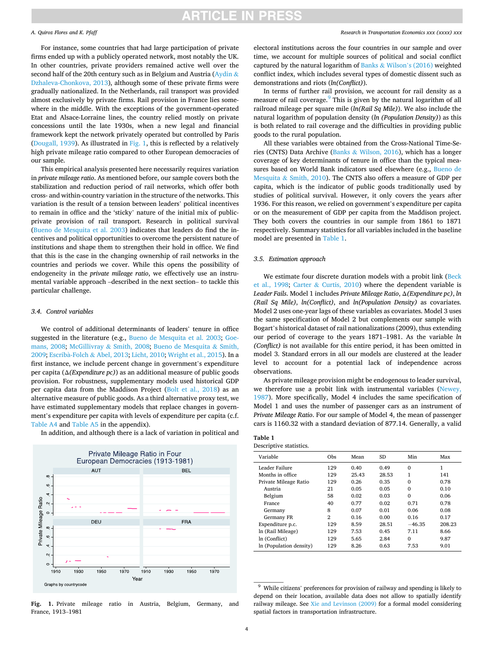#### <span id="page-3-0"></span>*A. Quiroz Flores and K. Pfaff*

For instance, some countries that had large participation of private firms ended up with a publicly operated network, most notably the UK. In other countries, private providers remained active well over the second half of the 20th century such as in Belgium and Austria ([Aydin](#page-9-0)  $\&$ [Dzhaleva-Chonkova, 2013\)](#page-9-0), although some of these private firms were gradually nationalized. In the Netherlands, rail transport was provided almost exclusively by private firms. Rail provision in France lies somewhere in the middle. With the exceptions of the government-operated Etat and Alsace-Lorraine lines, the country relied mostly on private concessions until the late 1930s, when a new legal and financial framework kept the network privately operated but controlled by Paris ([Dougall, 1939\)](#page-9-0). As illustrated in Fig. 1, this is reflected by a relatively high private mileage ratio compared to other European democracies of our sample.

This empirical analysis presented here necessarily requires variation in *private mileage ratio*. As mentioned before, our sample covers both the stabilization and reduction period of rail networks, which offer both cross- and within-country variation in the structure of the networks. This variation is the result of a tension between leaders' political incentives to remain in office and the 'sticky' nature of the initial mix of publicprivate provision of rail transport. Research in political survival ([Bueno de Mesquita et al. 2003](#page-9-0)) indicates that leaders do find the incentives and political opportunities to overcome the persistent nature of institutions and shape them to strengthen their hold in office. We find that this is the case in the changing ownership of rail networks in the countries and periods we cover. While this opens the possibility of endogeneity in the *private mileage ratio*, we effectively use an instrumental variable approach –described in the next section– to tackle this particular challenge.

#### *3.4. Control variables*

We control of additional determinants of leaders' tenure in office suggested in the literature (e.g., [Bueno de Mesquita et al. 2003](#page-9-0); [Goe](#page-9-0)[mans, 2008](#page-9-0); [McGillivray](#page-9-0) & Smith, 2008; [Bueno de Mesquita](#page-9-0) & Smith, 2009; Escribà-Folch & Abel, 2013; [Licht, 2010;](#page-9-0) [Wright et al., 2015](#page-10-0)). In a first instance, we include percent change in government's expenditure per capita (Δ*(Expenditure pc)*) as an additional measure of public goods provision. For robustness, supplementary models used historical GDP per capita data from the Maddison Project ([Bolt et al., 2018](#page-9-0)) as an alternative measure of public goods. As a third alternative proxy test, we have estimated supplementary models that replace changes in government's expenditure per capita with levels of expenditure per capita (c.f. [Table A4](#page-8-0) and [Table A5](#page-8-0) in the appendix).

In addition, and although there is a lack of variation in political and





#### *Research in Transportation Economics xxx (xxxx) xxx*

electoral institutions across the four countries in our sample and over time, we account for multiple sources of political and social conflict captured by the natural logarithm of Banks  $&$  Wilson'[s \(2016\)](#page-9-0) weighted conflict index, which includes several types of domestic dissent such as demonstrations and riots (*ln(Conflict)*).

In terms of further rail provision, we account for rail density as a measure of rail coverage.<sup>9</sup> This is given by the natural logarithm of all railroad mileage per square mile (*ln(Rail Sq Mile)*). We also include the natural logarithm of population density (*ln (Population Density)*) as this is both related to rail coverage and the difficulties in providing public goods to the rural population.

All these variables were obtained from the Cross-National Time-Series (CNTS) Data Archive (Banks & [Wilson, 2016\)](#page-9-0), which has a longer coverage of key determinants of tenure in office than the typical measures based on World Bank indicators used elsewhere (e.g., [Bueno de](#page-9-0)  Mesquita & [Smith, 2010\)](#page-9-0). The CNTS also offers a measure of GDP per capita, which is the indicator of public goods traditionally used by studies of political survival. However, it only covers the years after 1936. For this reason, we relied on government's expenditure per capita or on the measurement of GDP per capita from the Maddison project. They both covers the countries in our sample from 1861 to 1871 respectively. Summary statistics for all variables included in the baseline model are presented in Table 1.

#### *3.5. Estimation approach*

We estimate four discrete duration models with a probit link (Beck [et al., 1998;](#page-9-0) Carter & [Curtis, 2010\)](#page-9-0) where the dependent variable is *Leader Fails*. Model 1 includes *Private Mileage Ratio*, Δ*(Expenditure pc)*, *ln (Rail Sq Mile)*, *ln(Conflict)*, and *ln(Population Density)* as covariates. Model 2 uses one-year lags of these variables as covariates. Model 3 uses the same specification of Model 2 but complements our sample with Bogart's historical dataset of rail nationalizations (2009), thus extending our period of coverage to the years 1871–1981. As the variable *ln (Conflict)* is not available for this entire period, it has been omitted in model 3. Standard errors in all our models are clustered at the leader level to account for a potential lack of independence across observations.

As private mileage provision might be endogenous to leader survival, we therefore use a probit link with instrumental variables [\(Newey,](#page-9-0)  [1987\)](#page-9-0). More specifically, Model 4 includes the same specification of Model 1 and uses the number of passenger cars as an instrument of *Private Mileage Ratio*. For our sample of Model 4, the mean of passenger cars is 1160.32 with a standard deviation of 877.14. Generally, a valid

| Descriptive statistics. |  |
|-------------------------|--|
|-------------------------|--|

| Variable                | Obs            | Mean  | <b>SD</b> | Min      | Max    |
|-------------------------|----------------|-------|-----------|----------|--------|
| Leader Failure          | 129            | 0.40  | 0.49      | $\Omega$ | 1      |
| Months in office        | 129            | 25.43 | 28.53     | 1        | 141    |
| Private Mileage Ratio   | 129            | 0.26  | 0.35      | $\Omega$ | 0.78   |
| Austria                 | 21             | 0.05  | 0.05      | $\Omega$ | 0.10   |
| Belgium                 | 58             | 0.02  | 0.03      | $\Omega$ | 0.06   |
| France                  | 40             | 0.77  | 0.02      | 0.71     | 0.78   |
| Germany                 | 8              | 0.07  | 0.01      | 0.06     | 0.08   |
| Germany FR              | $\overline{2}$ | 0.16  | 0.00      | 0.16     | 0.17   |
| Expenditure p.c.        | 129            | 8.59  | 28.51     | $-46.35$ | 208.23 |
| ln (Rail Mileage)       | 129            | 7.53  | 0.45      | 7.11     | 8.66   |
| In (Conflict)           | 129            | 5.65  | 2.84      | $\Omega$ | 9.87   |
| In (Population density) | 129            | 8.26  | 0.63      | 7.53     | 9.01   |

 $^9\,$  While citizens' preferences for provision of railway and spending is likely to depend on their location, available data does not allow to spatially identify railway mileage. See [Xie and Levinson \(2009\)](#page-10-0) for a formal model considering spatial factors in transportation infrastructure.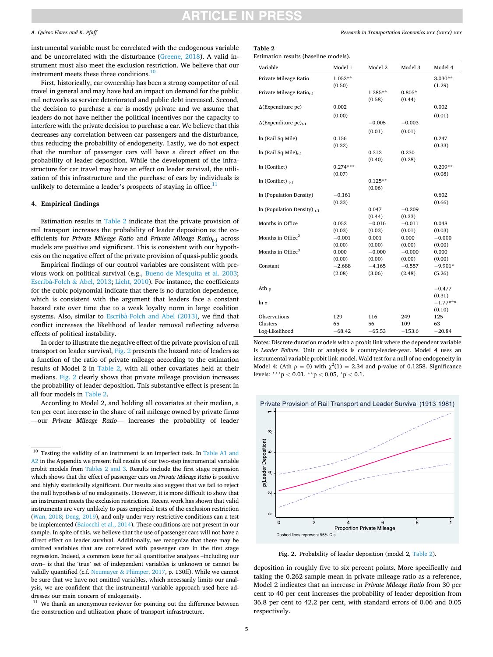# TICI E IN

#### <span id="page-4-0"></span>*A. Quiroz Flores and K. Pfaff*

instrumental variable must be correlated with the endogenous variable and be uncorrelated with the disturbance ([Greene, 2018\)](#page-9-0). A valid instrument must also meet the exclusion restriction. We believe that our instrument meets these three conditions.10

First, historically, car ownership has been a strong competitor of rail travel in general and may have had an impact on demand for the public rail networks as service deteriorated and public debt increased. Second, the decision to purchase a car is mostly private and we assume that leaders do not have neither the political incentives nor the capacity to interfere with the private decision to purchase a car. We believe that this decreases any correlation between car passengers and the disturbance, thus reducing the probability of endogeneity. Lastly, we do not expect that the number of passenger cars will have a direct effect on the probability of leader deposition. While the development of the infrastructure for car travel may have an effect on leader survival, the utilization of this infrastructure and the purchase of cars by individuals is unlikely to determine a leader's prospects of staying in office. $11$ 

### **4. Empirical findings**

Estimation results in Table 2 indicate that the private provision of rail transport increases the probability of leader deposition as the coefficients for *Private Mileage Ratio* and *Private Mileage Ratio<sub>t-1</sub>* across models are positive and significant. This is consistent with our hypothesis on the negative effect of the private provision of quasi-public goods.

Empirical findings of our control variables are consistent with previous work on political survival (e.g., [Bueno de Mesquita et al. 2003](#page-9-0); Escribà-Folch & [Abel, 2013; Licht, 2010\)](#page-9-0). For instance, the coefficients for the cubic polynomial indicate that there is no duration dependence, which is consistent with the argument that leaders face a constant hazard rate over time due to a weak loyalty norm in large coalition systems. Also, similar to Escribà-Folch [and Abel \(2013\),](#page-9-0) we find that conflict increases the likelihood of leader removal reflecting adverse effects of political instability.

In order to illustrate the negative effect of the private provision of rail transport on leader survival, Fig. 2 presents the hazard rate of leaders as a function of the ratio of private mileage according to the estimation results of Model 2 in Table 2, with all other covariates held at their medians. Fig. 2 clearly shows that private mileage provision increases the probability of leader deposition. This substantive effect is present in all four models in Table 2.

According to Model 2, and holding all covariates at their median, a ten per cent increase in the share of rail mileage owned by private firms —our *Private Mileage Ratio*— increases the probability of leader *Research in Transportation Economics xxx (xxxx) xxx*

## **Table 2**

Estimation results (baseline models).

| Variable                                 | Model 1         | Model 2            | Model 3            | Model 4         |
|------------------------------------------|-----------------|--------------------|--------------------|-----------------|
| Private Mileage Ratio                    | $1.052**$       |                    |                    | $3.030**$       |
|                                          | (0.50)          |                    |                    | (1.29)          |
| Private Mileage Ratio <sub>t-1</sub>     |                 | 1.385**            | $0.805*$           |                 |
|                                          |                 | (0.58)             | (0.44)             |                 |
| $\Delta$ (Expenditure pc)                | 0.002           |                    |                    | 0.002           |
|                                          | (0.00)          |                    |                    | (0.01)          |
| $\Delta$ (Expenditure pc) <sub>t-1</sub> |                 | $-0.005$           | $-0.003$           |                 |
|                                          |                 | (0.01)             | (0.01)             |                 |
| ln (Rail Sq Mile)                        | 0.156           |                    |                    | 0.247           |
|                                          | (0.32)          |                    |                    | (0.33)          |
| $ln (Rail Sq Mile)_{t-1}$                |                 | 0.312              | 0.230              |                 |
|                                          |                 | (0.40)             | (0.28)             |                 |
| In (Conflict)                            | $0.274***$      |                    |                    | $0.209**$       |
|                                          | (0.07)          |                    |                    | (0.08)          |
| $ln (Conflict)_{t=1}$                    |                 | $0.125**$          |                    |                 |
|                                          |                 | (0.06)             |                    |                 |
| In (Population Density)                  | $-0.161$        |                    |                    | 0.602           |
|                                          | (0.33)          |                    |                    | (0.66)          |
| In (Population Density) $_{t-1}$         |                 | 0.047              | $-0.209$           |                 |
| Months in Office                         |                 | (0.44)<br>$-0.016$ | (0.33)<br>$-0.011$ |                 |
|                                          | 0.052<br>(0.03) |                    | (0.01)             | 0.048<br>(0.03) |
| Months in Office $2$                     | $-0.001$        | (0.03)<br>0.001    | 0.000              | $-0.000$        |
|                                          | (0.00)          | (0.00)             | (0.00)             | (0.00)          |
| Months in Office <sup>3</sup>            | 0.000           | $-0.000$           | $-0.000$           | 0.000           |
|                                          | (0.00)          | (0.00)             | (0.00)             | (0.00)          |
| Constant                                 | $-2.688$        | $-4.165$           | $-0.557$           | $-9.901*$       |
|                                          | (2.08)          | (3.06)             | (2.48)             | (5.26)          |
|                                          |                 |                    |                    |                 |
| Ath $\rho$                               |                 |                    |                    | $-0.477$        |
|                                          |                 |                    |                    | (0.31)          |
| ln σ                                     |                 |                    |                    | $-1.77***$      |
|                                          |                 |                    |                    | (0.10)          |
| Observations                             | 129             | 116                | 249                | 125             |
| Clusters                                 | 65              | 56                 | 109                | 63              |
| Log-Likelihood                           | $-68.42$        | $-65.53$           | $-153.6$           | $-20.84$        |

Notes: Discrete duration models with a probit link where the dependent variable is *Leader Failure*. Unit of analysis is country-leader-year. Model 4 uses an instrumental variable probit link model. Wald test for a null of no endogeneity in Model 4: (Ath  $\rho = 0$ ) with  $\chi^2(1) = 2.34$  and p-value of 0.1258. Significance levels: \*\*\*p *<* 0.01, \*\*p *<* 0.05, \*p *<* 0.1.



**Fig. 2.** Probability of leader deposition (model 2, Table 2).

deposition in roughly five to six percent points. More specifically and taking the 0.262 sample mean in private mileage ratio as a reference, Model 2 indicates that an increase in *Private Mileage Ratio* from 30 per cent to 40 per cent increases the probability of leader deposition from 36.8 per cent to 42.2 per cent, with standard errors of 0.06 and 0.05 respectively.

 $10$  Testing the validity of an instrument is an imperfect task. In Table A1 and [A2](#page-6-0) in the Appendix we present full results of our two-step instrumental variable probit models from Tables 2 and 3. Results include the first stage regression which shows that the effect of passenger cars on *Private Mileage Ratio* is positive and highly statistically significant. Our results also suggest that we fail to reject the null hypothesis of no endogeneity. However, it is more difficult to show that an instrument meets the exclusion restriction. Recent work has shown that valid instruments are very unlikely to pass empirical tests of the exclusion restriction [\(Wan, 2018](#page-10-0); [Deng, 2019\)](#page-9-0), and only under very restrictive conditions can a test be implemented [\(Baiocchi et al., 2014](#page-9-0)). These conditions are not present in our sample. In spite of this, we believe that the use of passenger cars will not have a direct effect on leader survival. Additionally, we recognize that there may be omitted variables that are correlated with passenger cars in the first stage regression. Indeed, a common issue for all quantitative analyses –including our own– is that the 'true' set of independent variables is unknown or cannot be validly quantified (c.f. Neumayer & [Plümper, 2017,](#page-9-0) p. 130ff). While we cannot be sure that we have not omitted variables, which necessarily limits our analysis, we are confident that the instrumental variable approach used here ad-

dresses our main concern of endogeneity.  $\real^{11}$  We thank an anonymous reviewer for pointing out the difference between the construction and utilization phase of transport infrastructure.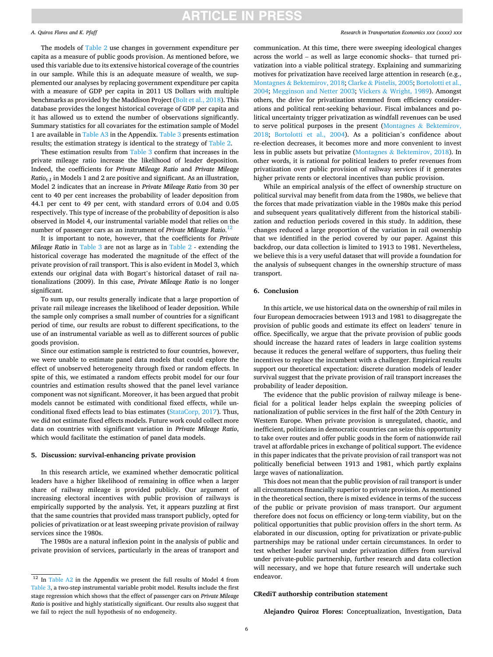# **ARTICLE IN PRESS**

#### <span id="page-5-0"></span>*A. Quiroz Flores and K. Pfaff*

The models of [Table 2](#page-4-0) use changes in government expenditure per capita as a measure of public goods provision. As mentioned before, we used this variable due to its extensive historical coverage of the countries in our sample. While this is an adequate measure of wealth, we supplemented our analyses by replacing government expenditure per capita with a measure of GDP per capita in 2011 US Dollars with multiple benchmarks as provided by the Maddison Project [\(Bolt et al., 2018\)](#page-9-0). This database provides the longest historical coverage of GDP per capita and it has allowed us to extend the number of observations significantly. Summary statistics for all covariates for the estimation sample of Model 1 are available in [Table A3](#page-7-0) in the Appendix. [Table 3](#page-6-0) presents estimation results; the estimation strategy is identical to the strategy of [Table 2.](#page-4-0)

These estimation results from [Table 3](#page-6-0) confirm that increases in the private mileage ratio increase the likelihood of leader deposition. Indeed, the coefficients for *Private Mileage Ratio* and *Private Mileage Ratiot-1* in Models 1 and 2 are positive and significant. As an illustration, Model 2 indicates that an increase in *Private Mileage Ratio* from 30 per cent to 40 per cent increases the probability of leader deposition from 44.1 per cent to 49 per cent, with standard errors of 0.04 and 0.05 respectively. This type of increase of the probability of deposition is also observed in Model 4, our instrumental variable model that relies on the number of passenger cars as an instrument of *Private Mileage Ratio*. 12

It is important to note, however, that the coefficients for *Private Mileage Ratio* in [Table 3](#page-6-0) are not as large as in [Table 2](#page-4-0) - extending the historical coverage has moderated the magnitude of the effect of the private provision of rail transport. This is also evident in Model 3, which extends our original data with Bogart's historical dataset of rail nationalizations (2009). In this case, *Private Mileage Ratio* is no longer significant.

To sum up, our results generally indicate that a large proportion of private rail mileage increases the likelihood of leader deposition. While the sample only comprises a small number of countries for a significant period of time, our results are robust to different specifications, to the use of an instrumental variable as well as to different sources of public goods provision.

Since our estimation sample is restricted to four countries, however, we were unable to estimate panel data models that could explore the effect of unobserved heterogeneity through fixed or random effects. In spite of this, we estimated a random effects probit model for our four countries and estimation results showed that the panel level variance component was not significant. Moreover, it has been argued that probit models cannot be estimated with conditional fixed effects, while unconditional fixed effects lead to bias estimates ([StataCorp, 2017\)](#page-10-0). Thus, we did not estimate fixed effects models. Future work could collect more data on countries with significant variation in *Private Mileage Ratio*, which would facilitate the estimation of panel data models.

#### **5. Discussion: survival-enhancing private provision**

In this research article, we examined whether democratic political leaders have a higher likelihood of remaining in office when a larger share of railway mileage is provided publicly. Our argument of increasing electoral incentives with public provision of railways is empirically supported by the analysis. Yet, it appears puzzling at first that the same countries that provided mass transport publicly, opted for policies of privatization or at least sweeping private provision of railway services since the 1980s.

The 1980s are a natural inflexion point in the analysis of public and private provision of services, particularly in the areas of transport and

#### *Research in Transportation Economics xxx (xxxx) xxx*

communication. At this time, there were sweeping ideological changes across the world – as well as large economic shocks– that turned privatization into a viable political strategy. Explaining and summarizing motives for privatization have received large attention in research (e.g., Montagnes & [Bektemirov, 2018;](#page-9-0) Clarke & [Pistelis, 2005](#page-9-0); [Bortolotti et al.,](#page-9-0)  [2004; Megginson and Netter 2003;](#page-9-0) Vickers & [Wright, 1989\)](#page-10-0). Amongst others, the drive for privatization stemmed from efficiency considerations and political rent-seeking behaviour. Fiscal imbalances and political uncertainty trigger privatization as windfall revenues can be used to serve political purposes in the present (Montagnes & [Bektemirov,](#page-9-0)  [2018;](#page-9-0) [Bortolotti et al., 2004\)](#page-9-0). As a politician's confidence about re-election decreases, it becomes more and more convenient to invest less in public assets but privatize (Montagnes & [Bektemirov, 2018\)](#page-9-0). In other words, it is rational for political leaders to prefer revenues from privatization over public provision of railway services if it generates higher private rents or electoral incentives than public provision.

While an empirical analysis of the effect of ownership structure on political survival may benefit from data from the 1980s, we believe that the forces that made privatization viable in the 1980s make this period and subsequent years qualitatively different from the historical stabilization and reduction periods covered in this study. In addition, these changes reduced a large proportion of the variation in rail ownership that we identified in the period covered by our paper. Against this backdrop, our data collection is limited to 1913 to 1981. Nevertheless, we believe this is a very useful dataset that will provide a foundation for the analysis of subsequent changes in the ownership structure of mass transport.

#### **6. Conclusion**

In this article, we use historical data on the ownership of rail miles in four European democracies between 1913 and 1981 to disaggregate the provision of public goods and estimate its effect on leaders' tenure in office. Specifically, we argue that the private provision of public goods should increase the hazard rates of leaders in large coalition systems because it reduces the general welfare of supporters, thus fueling their incentives to replace the incumbent with a challenger. Empirical results support our theoretical expectation: discrete duration models of leader survival suggest that the private provision of rail transport increases the probability of leader deposition.

The evidence that the public provision of railway mileage is beneficial for a political leader helps explain the sweeping policies of nationalization of public services in the first half of the 20th Century in Western Europe. When private provision is unregulated, chaotic, and inefficient, politicians in democratic countries can seize this opportunity to take over routes and offer public goods in the form of nationwide rail travel at affordable prices in exchange of political support. The evidence in this paper indicates that the private provision of rail transport was not politically beneficial between 1913 and 1981, which partly explains large waves of nationalization.

This does not mean that the public provision of rail transport is under all circumstances financially superior to private provision. As mentioned in the theoretical section, there is mixed evidence in terms of the success of the public or private provision of mass transport. Our argument therefore does not focus on efficiency or long-term viability, but on the political opportunities that public provision offers in the short term. As elaborated in our discussion, opting for privatization or private-public partnerships may be rational under certain circumstances. In order to test whether leader survival under privatization differs from survival under private-public partnership, further research and data collection will necessary, and we hope that future research will undertake such endeavor.

### **CRediT authorship contribution statement**

**Alejandro Quiroz Flores:** Conceptualization, Investigation, Data

<sup>&</sup>lt;sup>12</sup> In [Table A2](#page-7-0) in the Appendix we present the full results of Model 4 from [Table 3](#page-6-0), a two-step instrumental variable probit model. Results include the first stage regression which shows that the effect of passenger cars on *Private Mileage Ratio* is positive and highly statistically significant. Our results also suggest that we fail to reject the null hypothesis of no endogeneity.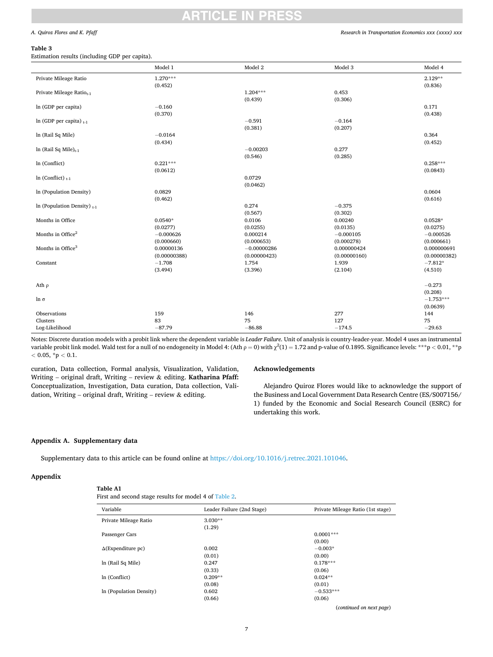# **ARTICLE IN PRES**

#### <span id="page-6-0"></span>*A. Quiroz Flores and K. Pfaff*

#### **Table 3**

Estimation results (including GDP per capita).

|                                      | Model 1      | Model 2       | Model 3      | Model 4      |
|--------------------------------------|--------------|---------------|--------------|--------------|
| Private Mileage Ratio                | $1.270***$   |               |              | $2.129**$    |
|                                      | (0.452)      |               |              | (0.836)      |
| Private Mileage Ratio <sub>t-1</sub> |              | $1.204***$    | 0.453        |              |
|                                      |              | (0.439)       | (0.306)      |              |
| ln (GDP per capita)                  | $-0.160$     |               |              | 0.171        |
|                                      | (0.370)      |               |              | (0.438)      |
| In (GDP per capita) $_{t-1}$         |              | $-0.591$      | $-0.164$     |              |
|                                      |              | (0.381)       | (0.207)      |              |
| ln (Rail Sq Mile)                    | $-0.0164$    |               |              | 0.364        |
|                                      | (0.434)      |               |              | (0.452)      |
| ln (Rail Sq Mile) $_{t-1}$           |              | $-0.00203$    | 0.277        |              |
|                                      |              | (0.546)       | (0.285)      |              |
| In (Conflict)                        | $0.221***$   |               |              | $0.258***$   |
|                                      | (0.0612)     |               |              | (0.0843)     |
| In (Conflict) $_{t-1}$               |              | 0.0729        |              |              |
|                                      |              | (0.0462)      |              |              |
| In (Population Density)              | 0.0829       |               |              | 0.0604       |
|                                      | (0.462)      |               |              | (0.616)      |
| In (Population Density) $_{t-1}$     |              | 0.274         | $-0.375$     |              |
|                                      |              | (0.567)       | (0.302)      |              |
| Months in Office                     | $0.0540*$    | 0.0106        | 0.00240      | $0.0528*$    |
|                                      | (0.0277)     | (0.0255)      | (0.0135)     | (0.0275)     |
| Months in Office <sup>2</sup>        | $-0.000626$  | 0.000214      | $-0.000105$  | $-0.000526$  |
|                                      | (0.000660)   | (0.000653)    | (0.000278)   | (0.000661)   |
| Months in Office <sup>3</sup>        | 0.00000136   | $-0.00000286$ | 0.000000424  | 0.000000691  |
|                                      | (0.00000388) | (0.00000423)  | (0.00000160) | (0.00000382) |
| Constant                             | $-1.708$     | 1.754         | 1.939        | $-7.812*$    |
|                                      | (3.494)      | (3.396)       | (2.104)      | (4.510)      |
| Ath $\rho$                           |              |               |              | $-0.273$     |
|                                      |              |               |              | (0.208)      |
| $\ln \sigma$                         |              |               |              | $-1.753***$  |
|                                      |              |               |              | (0.0639)     |
| Observations                         | 159          | 146           | 277          | 144          |
| Clusters                             | 83           | 75            | 127          | 75           |
| Log-Likelihood                       | $-87.79$     | $-86.88$      | $-174.5$     | $-29.63$     |

Notes: Discrete duration models with a probit link where the dependent variable is *Leader Failure*. Unit of analysis is country-leader-year. Model 4 uses an instrumental variable probit link model. Wald test for a null of no endogeneity in Model 4: (Ath  $\rho = 0$ ) with  $\chi^2(1) = 1.72$  and p-value of 0.1895. Significance levels: \*\*\* p < 0.01, \*\* p *<* 0.05, \*p *<* 0.1.

curation, Data collection, Formal analysis, Visualization, Validation, Writing – original draft, Writing – review & editing. **Katharina Pfaff:**  Conceptualization, Investigation, Data curation, Data collection, Validation, Writing – original draft, Writing – review & editing.

#### **Acknowledgements**

Alejandro Quiroz Flores would like to acknowledge the support of the Business and Local Government Data Research Centre (ES/S007156/ 1) funded by the Economic and Social Research Council (ESRC) for undertaking this work.

## **Appendix A. Supplementary data**

Supplementary data to this article can be found online at<https://doi.org/10.1016/j.retrec.2021.101046>.

### **Appendix**

**Table A1** 

First and second stage results for model 4 of [Table 2.](#page-4-0)

| Variable                  | Leader Failure (2nd Stage) | Private Mileage Ratio (1st stage) |
|---------------------------|----------------------------|-----------------------------------|
| Private Mileage Ratio     | $3.030**$                  |                                   |
|                           | (1.29)                     |                                   |
| Passenger Cars            |                            | $0.0001***$                       |
|                           |                            | (0.00)                            |
| $\Delta$ (Expenditure pc) | 0.002                      | $-0.003*$                         |
|                           | (0.01)                     | (0.00)                            |
| ln (Rail Sq Mile)         | 0.247                      | $0.178***$                        |
|                           | (0.33)                     | (0.06)                            |
| ln (Conflict)             | $0.209**$                  | $0.024**$                         |
|                           | (0.08)                     | (0.01)                            |
| In (Population Density)   | 0.602                      | $-0.533***$                       |
|                           | (0.66)                     | (0.06)                            |

(*continued on next page*)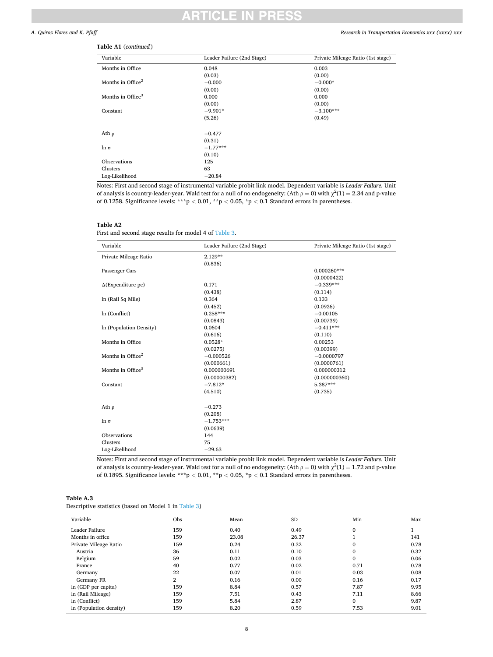#### CI F IN PRE!

#### <span id="page-7-0"></span>*A. Quiroz Flores and K. Pfaff*

#### *Research in Transportation Economics xxx (xxxx) xxx*

# **Table A1** (*continued* )

| Variable                      | Leader Failure (2nd Stage) | Private Mileage Ratio (1st stage) |
|-------------------------------|----------------------------|-----------------------------------|
| Months in Office              | 0.048                      | 0.003                             |
|                               | (0.03)                     | (0.00)                            |
| Months in Office <sup>2</sup> | $-0.000$                   | $-0.000*$                         |
|                               | (0.00)                     | (0.00)                            |
| Months in Office <sup>3</sup> | 0.000                      | 0.000                             |
|                               | (0.00)                     | (0.00)                            |
| Constant                      | $-9.901*$                  | $-3.100***$                       |
|                               | (5.26)                     | (0.49)                            |
| Ath $\rho$                    | $-0.477$                   |                                   |
|                               | (0.31)                     |                                   |
| $\ln \sigma$                  | $-1.77***$                 |                                   |
|                               | (0.10)                     |                                   |
| Observations                  | 125                        |                                   |
| Clusters                      | 63                         |                                   |
| Log-Likelihood                | $-20.84$                   |                                   |

Notes: First and second stage of instrumental variable probit link model. Dependent variable is *Leader Failure*. Unit of analysis is country-leader-year. Wald test for a null of no endogeneity: (Ath  $\rho = 0$ ) with  $\chi^2(1) = 2.34$  and p-value of 0.1258. Significance levels: \*\*\*p *<* 0.01, \*\*p *<* 0.05, \*p *<* 0.1 Standard errors in parentheses.

#### **Table A2**

First and second stage results for model 4 of [Table 3.](#page-6-0)

| Variable                      | Leader Failure (2nd Stage) | Private Mileage Ratio (1st stage) |
|-------------------------------|----------------------------|-----------------------------------|
| Private Mileage Ratio         | $2.129**$                  |                                   |
|                               | (0.836)                    |                                   |
| Passenger Cars                |                            | $0.000260***$                     |
|                               |                            | (0.0000422)                       |
| $\Delta$ (Expenditure pc)     | 0.171                      | $-0.339***$                       |
|                               | (0.438)                    | (0.114)                           |
| ln (Rail Sq Mile)             | 0.364                      | 0.133                             |
|                               | (0.452)                    | (0.0926)                          |
| In (Conflict)                 | $0.258***$                 | $-0.00105$                        |
|                               | (0.0843)                   | (0.00739)                         |
| In (Population Density)       | 0.0604                     | $-0.411***$                       |
|                               | (0.616)                    | (0.110)                           |
| Months in Office              | $0.0528*$                  | 0.00253                           |
|                               | (0.0275)                   | (0.00399)                         |
| Months in Office <sup>2</sup> | $-0.000526$                | $-0.0000797$                      |
|                               | (0.000661)                 | (0.0000761)                       |
| Months in Office <sup>3</sup> | 0.000000691                | 0.000000312                       |
|                               | (0.00000382)               | (0.000000360)                     |
| Constant                      | $-7.812*$                  | 5.387***                          |
|                               | (4.510)                    | (0.735)                           |
| Ath $\rho$                    | $-0.273$                   |                                   |
|                               | (0.208)                    |                                   |
| $\ln \sigma$                  | $-1.753***$                |                                   |
|                               | (0.0639)                   |                                   |
| Observations                  | 144                        |                                   |
| Clusters                      | 75                         |                                   |
| Log-Likelihood                | $-29.63$                   |                                   |

Notes: First and second stage of instrumental variable probit link model. Dependent variable is *Leader Failure*. Unit of analysis is country-leader-year. Wald test for a null of no endogeneity: (Ath  $\rho = 0$ ) with  $\chi^2(1) = 1.72$  and p-value of 0.1895. Significance levels: \*\*\*p *<* 0.01, \*\*p *<* 0.05, \*p *<* 0.1 Standard errors in parentheses.

| Table A.3                                            |  |
|------------------------------------------------------|--|
| Descriptive statistics (based on Model 1 in Table 3) |  |

| Variable                | Obs            | Mean  | <b>SD</b> | Min          | Max  |
|-------------------------|----------------|-------|-----------|--------------|------|
| Leader Failure          | 159            | 0.40  | 0.49      | $\mathbf{0}$ |      |
| Months in office        | 159            | 23.08 | 26.37     |              | 141  |
| Private Mileage Ratio   | 159            | 0.24  | 0.32      | 0            | 0.78 |
| Austria                 | 36             | 0.11  | 0.10      | 0            | 0.32 |
| Belgium                 | 59             | 0.02  | 0.03      | $\Omega$     | 0.06 |
| France                  | 40             | 0.77  | 0.02      | 0.71         | 0.78 |
| Germany                 | 22             | 0.07  | 0.01      | 0.03         | 0.08 |
| Germany FR              | $\overline{2}$ | 0.16  | 0.00      | 0.16         | 0.17 |
| ln (GDP per capita)     | 159            | 8.84  | 0.57      | 7.87         | 9.95 |
| ln (Rail Mileage)       | 159            | 7.51  | 0.43      | 7.11         | 8.66 |
| ln (Conflict)           | 159            | 5.84  | 2.87      | 0            | 9.87 |
| In (Population density) | 159            | 8.20  | 0.59      | 7.53         | 9.01 |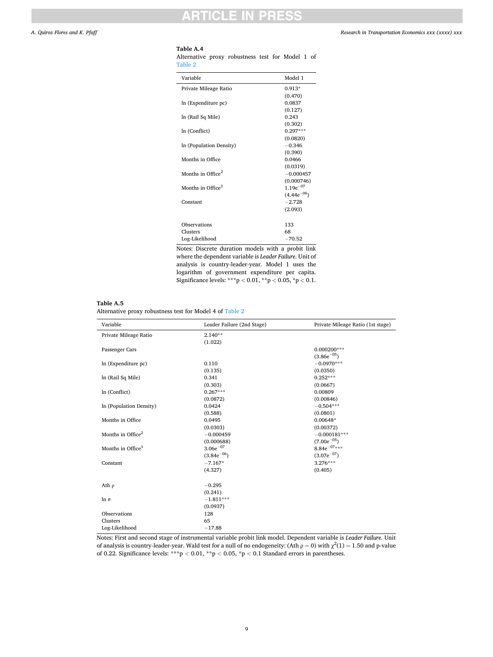# ◠

## <span id="page-8-0"></span>**Table A.4**

Alternative proxy robustness test for Model 1 of [Table 2](#page-4-0)

| Variable                      | Model 1         |
|-------------------------------|-----------------|
| Private Mileage Ratio         | $0.913*$        |
|                               | (0.470)         |
| ln (Expenditure pc)           | 0.0837          |
|                               | (0.127)         |
| ln (Rail Sq Mile)             | 0.243           |
|                               | (0.302)         |
| ln (Conflict)                 | $0.297***$      |
|                               | (0.0820)        |
| In (Population Density)       | $-0.346$        |
|                               | (0.390)         |
| Months in Office              | 0.0466          |
|                               | (0.0319)        |
| Months in Office $^2$         | $-0.000457$     |
|                               | (0.000746)      |
| Months in Office <sup>3</sup> | $1.19e^{-07}$   |
|                               | $(4.44e^{-06})$ |
| Constant                      | $-2.728$        |
|                               | (2.093)         |
|                               |                 |
| Observations                  | 133             |
| Clusters                      | 68              |
| Log-Likelihood                | $-70.52$        |
|                               |                 |

Notes: Discrete duration models with a probit link where the dependent variable is *Leader Failure*. Unit of analysis is country-leader-year. Model 1 uses the logarithm of government expenditure per capita. Significance levels: \*\*\*p *<* 0.01, \*\*p *<* 0.05, \*p *<* 0.1.

#### **Table A.5**

l,

Alternative proxy robustness test for Model 4 of [Table 2](#page-4-0)

| Variable                      | Leader Failure (2nd Stage) | Private Mileage Ratio (1st stage) |
|-------------------------------|----------------------------|-----------------------------------|
| Private Mileage Ratio         | $2.140**$                  |                                   |
|                               | (1.022)                    |                                   |
| Passenger Cars                |                            | $0.000200***$                     |
|                               |                            | $(3.86e^{-0.5})$                  |
| ln (Expenditure pc)           | 0.110                      | $-0.0970***$                      |
|                               | (0.135)                    | (0.0350)                          |
| ln (Rail Sq Mile)             | 0.341                      | $0.252***$                        |
|                               | (0.303)                    | (0.0667)                          |
| ln (Conflict)                 | $0.267***$                 | 0.00809                           |
|                               | (0.0872)                   | (0.00846)                         |
| In (Population Density)       | 0.0424                     | $-0.504***$                       |
|                               | (0.588)                    | (0.0801)                          |
| Months in Office              | 0.0495                     | 0.00648*                          |
|                               | (0.0303)                   | (0.00372)                         |
| Months in Office <sup>2</sup> | $-0.000459$                | $-0.000181***$                    |
|                               | (0.000688)                 | $(7.00e^{-05})$                   |
| Months in Office <sup>3</sup> | $3.06e^{-07}$              | $8.84e^{-07***}$                  |
|                               | $(3.84e^{-06})$            | $(3.07e^{-07})$                   |
| Constant                      | $-7.167*$                  | $3.276***$                        |
|                               | (4.327)                    | (0.405)                           |
| Ath $\rho$                    | $-0.295$                   |                                   |
|                               | (0.241)                    |                                   |
| $\ln \sigma$                  | $-1.811***$                |                                   |
|                               | (0.0937)                   |                                   |
| Observations                  | 128                        |                                   |
| Clusters                      | 65                         |                                   |
| Log-Likelihood                | $-17.88$                   |                                   |

Notes: First and second stage of instrumental variable probit link model. Dependent variable is *Leader Failure*. Unit of analysis is country-leader-year. Wald test for a null of no endogeneity: (Ath  $\rho = 0$ ) with  $\chi^2(1) = 1.50$  and p-value of 0.22. Significance levels: \*\*\*p *<* 0.01, \*\*p *<* 0.05, \*p *<* 0.1 Standard errors in parentheses.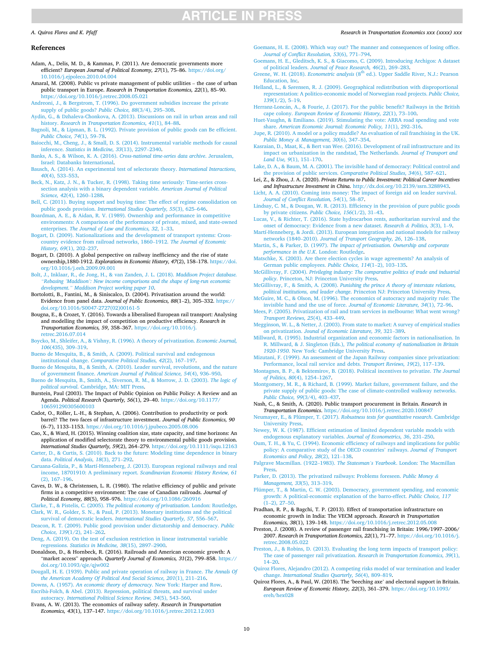# **ARTICLE IN PRESS**

#### <span id="page-9-0"></span>*A. Quiroz Flores and K. Pfaff*

#### **References**

- Adam, A., Delis, M. D., & Kammas, P. (2011). Are democratic governments more efficient? *European Journal of Political Economy, 27*(1), 75–86. [https://doi.org/](https://doi.org/10.1016/j.ejpoleco.2010.04.004) [10.1016/j.ejpoleco.2010.04.004](https://doi.org/10.1016/j.ejpoleco.2010.04.004)
- Amaral, M. (2008). Public vs private management of public utilities the case of urban public transport in Europe. *Research in Transportation Economics, 22*(1), 85–90. <https://doi.org/10.1016/j.retrec.2008.05.021>
- [Andreoni, J., & Bergstrom, T. \(1996\). Do government subsidies increase the private](http://refhub.elsevier.com/S0739-8859(21)00018-4/sref3) [supply of public goods?](http://refhub.elsevier.com/S0739-8859(21)00018-4/sref3) *Public Choice, 88*(3/4), 295–308.
- [Aydin, G., & Dzhaleva-Chonkova, A. \(2013\). Discussions on rail in urban areas and rail](http://refhub.elsevier.com/S0739-8859(21)00018-4/sref4)  history. *[Research in Transportation Economics, 41](http://refhub.elsevier.com/S0739-8859(21)00018-4/sref4)*(1), 84–88.
- [Bagnoli, M., & Lipman, B. L. \(1992\). Private provision of public goods can Be efficient.](http://refhub.elsevier.com/S0739-8859(21)00018-4/sref5) *[Public Choice, 74](http://refhub.elsevier.com/S0739-8859(21)00018-4/sref5)*(1), 59–78.
- [Baiocchi, M., Cheng, J., & Small, D. S. \(2014\). Instrumental variable methods for causal](http://refhub.elsevier.com/S0739-8859(21)00018-4/sref6)  inference. *[Statistics in Medicine, 33](http://refhub.elsevier.com/S0739-8859(21)00018-4/sref6)*(13), 2297–2340.
- [Banks, A. S., & Wilson, K. A. \(2016\).](http://refhub.elsevier.com/S0739-8859(21)00018-4/sref7) *Cross-national time-series data archive*. Jerusalem, [Israel: Databanks International](http://refhub.elsevier.com/S0739-8859(21)00018-4/sref7).
- [Bausch, A. \(2014\). An experimental test of selectorate theory.](http://refhub.elsevier.com/S0739-8859(21)00018-4/sref8) *International Interactions, 40*[\(4\), 533](http://refhub.elsevier.com/S0739-8859(21)00018-4/sref8)–553.
- [Beck, N., Katz, J. N., & Tucker, R. \(1998\). Taking time seriously: Time-series cross](http://refhub.elsevier.com/S0739-8859(21)00018-4/sref9)[section analysis with a binary dependent variable.](http://refhub.elsevier.com/S0739-8859(21)00018-4/sref9) *American Journal of Political [Science, 42](http://refhub.elsevier.com/S0739-8859(21)00018-4/sref9)*(4), 1260–1288.
- [Bell, C. \(2011\). Buying support and buying time: The effect of regime consolidation on](http://refhub.elsevier.com/S0739-8859(21)00018-4/sref10) public goods provision. *[International Studies Quarterly, 55](http://refhub.elsevier.com/S0739-8859(21)00018-4/sref10)*(3), 625–646.
- [Boardman, A. E., & Aidan, R. V. \(1989\). Ownership and performance in competitive](http://refhub.elsevier.com/S0739-8859(21)00018-4/sref12) [environments: A comparison of the performance of private, mixed, and state-owned](http://refhub.elsevier.com/S0739-8859(21)00018-4/sref12)  enterprises. *[The Journal of Law and Economics, 32](http://refhub.elsevier.com/S0739-8859(21)00018-4/sref12)*, 1–33.
- [Bogart, D. \(2009\). Nationalizations and the development of transport systems: Cross](http://refhub.elsevier.com/S0739-8859(21)00018-4/sref13)[country evidence from railroad networks, 1860](http://refhub.elsevier.com/S0739-8859(21)00018-4/sref13)–1912. *The Journal of Economic [History, 69](http://refhub.elsevier.com/S0739-8859(21)00018-4/sref13)*(1), 202–237.
- Bogart, D. (2010). A global perspective on railway inefficiency and the rise of state ownership,1880-1912. *Explorations in Economic History, 47*(2), 158–178. [https://doi.](https://doi.org/10.1016/j.eeh.2009.09.001)  [org/10.1016/j.eeh.2009.09.001](https://doi.org/10.1016/j.eeh.2009.09.001)
- [Bolt, J., Inklaar, R., de Jong, H., & van Zanden, J. L. \(2018\).](http://refhub.elsevier.com/S0739-8859(21)00018-4/sref15) *Maddison Project database. "Rebasing 'Maddison'[: New income comparisons and the shape of long-run economic](http://refhub.elsevier.com/S0739-8859(21)00018-4/sref15)  development." [Maddison Project working paper 10](http://refhub.elsevier.com/S0739-8859(21)00018-4/sref15)*.
- Bortolotti, B., Fantini, M., & Siniscalco, D. (2004). Privatisation around the world: Evidence from panel data. *Journal of Public Economics, 88*(1–2), 305–332. [https://](https://doi.org/10.1016/S0047-2727(02)00161-5)  [doi.org/10.1016/S0047-2727\(02\)00161-5](https://doi.org/10.1016/S0047-2727(02)00161-5)
- Bougna, E., & Crozet, Y. (2016). Towards a liberalised European rail transport: Analysing and modelling the impact of competition on productive efficiency. *Research in Transportation Economics, 59*, 358–367. [https://doi.org/10.1016/j.](https://doi.org/10.1016/j.retrec.2016.07.014)  [retrec.2016.07.014](https://doi.org/10.1016/j.retrec.2016.07.014)
- [Boycko, M., Shleifer, A., & Vishny, R. \(1996\). A theory of privatization.](http://refhub.elsevier.com/S0739-8859(21)00018-4/sref18) *Economic Journal, 106*[\(435\), 309](http://refhub.elsevier.com/S0739-8859(21)00018-4/sref18)–319.
- [Bueno de Mesquita, B., & Smith, A. \(2009\). Political survival and endogenous](http://refhub.elsevier.com/S0739-8859(21)00018-4/sref19)  institutional change. *[Comparative Political Studies, 42](http://refhub.elsevier.com/S0739-8859(21)00018-4/sref19)*(2), 167–197.
- [Bueno de Mesquita, B., & Smith, A. \(2010\). Leader survival, revolutions, and the nature](http://refhub.elsevier.com/S0739-8859(21)00018-4/sref20)  of government finance. *[American Journal of Political Science, 54](http://refhub.elsevier.com/S0739-8859(21)00018-4/sref20)*(4), 936–950.
- [Bueno de Mesquita, B., Smith, A., Siverson, R. M., & Morrow, J. D. \(2003\).](http://refhub.elsevier.com/S0739-8859(21)00018-4/sref21) *The logic of political survival*[. Cambridge, MA: MIT Press.](http://refhub.elsevier.com/S0739-8859(21)00018-4/sref21)
- Burstein, Paul (2003). The Impact of Public Opinion on Public Policy: A Review and an Agenda. *Political Research Quarterly, 56*(1), 29–40. [https://doi.org/10.1177/](https://doi.org/10.1177/106591290305600103) [106591290305600103](https://doi.org/10.1177/106591290305600103)
- Cadot, O., Röller, L.-H., & Stephan, A. (2006). Contribution to productivity or pork barrel? The two faces of infrastructure investment. *Journal of Public Economics, 90*  (6–7), 1133–1153.<https://doi.org/10.1016/j.jpubeco.2005.08.006>
- Cao, X., & Ward, H. (2015). Winning coalition size, state capacity, and time horizons: An application of modified selectorate theory to environmental public goods provision. *International Studies Quarterly, 59*(2), 264–279. <https://doi.org/10.1111/isqu.12163>
- [Carter, D., & Curtis, S. \(2010\). Back to the future: Modeling time dependence in binary](http://refhub.elsevier.com/S0739-8859(21)00018-4/sref24)  data. *[Political Analysis, 18](http://refhub.elsevier.com/S0739-8859(21)00018-4/sref24)*(3), 271–292.
- [Caruana-Galizia, P., & Martí-Henneberg, J. \(2013\). European regional railways and real](http://refhub.elsevier.com/S0739-8859(21)00018-4/sref25)  [income, 18701910: A preliminary report.](http://refhub.elsevier.com/S0739-8859(21)00018-4/sref25) *Scandinavian Economic History Review, 61*  [\(2\), 167](http://refhub.elsevier.com/S0739-8859(21)00018-4/sref25)–196.
- Caves, D. W., & Christensen, L. R. (1980). The relative efficiency of public and private firms in a competitive environment: The case of Canadian railroads. *Journal of Political Economy, 88*(5), 958–976.<https://doi.org/10.1086/260916>
- Clarke, T., & Pistelis, C. (2005). *[The political economy of privatization](http://refhub.elsevier.com/S0739-8859(21)00018-4/sref27)*. London: Routledge. [Clark, W. R., Golder, S. N., & Paul, P. \(2013\). Monetary institutions and the political](http://refhub.elsevier.com/S0739-8859(21)00018-4/sref28)
- survival of democratic leaders. *[International Studies Quarterly, 57](http://refhub.elsevier.com/S0739-8859(21)00018-4/sref28)*, 556–567. [Deacon, R. T. \(2009\). Public good provision under dictatorship and democracy.](http://refhub.elsevier.com/S0739-8859(21)00018-4/sref29) *Public*
- *[Choice, 139](http://refhub.elsevier.com/S0739-8859(21)00018-4/sref29)*(1/2), 241–262. [Deng, A. \(2019\). On the test of exclusion restriction in linear instrumental variable](http://refhub.elsevier.com/S0739-8859(21)00018-4/sref30) regressions. *[Statistics in Medicine, 38](http://refhub.elsevier.com/S0739-8859(21)00018-4/sref30)*(15), 2897–2900.
- Donaldson, D., & Hornbeck, R. (2016). Railroads and American economic growth: A "market access" approach. *Quarterly Journal of Economics, 31*(2), 799–858. [https://](https://doi.org/10.1093/qje/qjw002) [doi.org/10.1093/qje/qjw002](https://doi.org/10.1093/qje/qjw002)
- [Dougall, H. E. \(1939\). Public and private operation of railway in France.](http://refhub.elsevier.com/S0739-8859(21)00018-4/sref32) *The Annals Of [the American Academy Of Political And Social Science, 201](http://refhub.elsevier.com/S0739-8859(21)00018-4/sref32)*(1), 211–216.
- Downs, A. (1957). *[An economic theory of democracy](http://refhub.elsevier.com/S0739-8859(21)00018-4/sref33)*. New York: Harper and Row. Escribà-Folch, & Abel. (2013). Repression, political threats, and survival under autocracy. *[International Political Science Review, 34](http://refhub.elsevier.com/S0739-8859(21)00018-4/sref34)*(5), 543–560.
- Evans, A. W. (2013). The economics of railway safety. *Research in Transportation Economics, 43*(1), 137–147.<https://doi.org/10.1016/j.retrec.2012.12.003>

*Research in Transportation Economics xxx (xxxx) xxx*

- [Goemans, H. E. \(2008\). Which way out? The manner and consequences of losing office.](http://refhub.elsevier.com/S0739-8859(21)00018-4/sref37)  *[Journal of Conflict Resolution, 53](http://refhub.elsevier.com/S0739-8859(21)00018-4/sref37)*(6), 771–794. [Goemans, H. E., Gleditsch, K. S., & Giacomo, C. \(2009\). Introducing Archigos: A dataset](http://refhub.elsevier.com/S0739-8859(21)00018-4/sref38)
- of political leaders. *[Journal of Peace Research, 46](http://refhub.elsevier.com/S0739-8859(21)00018-4/sref38)*(2), 269–283. Greene, W. H. (2018). *Econometric analysis* (8<sup>th</sup> ed.). Upper Saddle River, N.J.: Pearson
- [Education, Inc](http://refhub.elsevier.com/S0739-8859(21)00018-4/sref39).
- Helland, L., & Sø[rensen, R. J. \(2009\). Geographical redistribution with disproportional](http://refhub.elsevier.com/S0739-8859(21)00018-4/sref40)  [representation: A politico-economic model of Norwegian road projects.](http://refhub.elsevier.com/S0739-8859(21)00018-4/sref40) *Public Choice, 139*[\(1/2\), 5](http://refhub.elsevier.com/S0739-8859(21)00018-4/sref40)–19.
- Herranz-Loncán, A., & Fourie, J. (2017). For the public benefit? Railways in the British cape colony. *[European Review of Economic History, 22](http://refhub.elsevier.com/S0739-8859(21)00018-4/sref41)*(1), 73–100.
- [Huet-Vaughn, & Emiliano. \(2019\). Stimulating the vote: ARRA road spending and vote](http://refhub.elsevier.com/S0739-8859(21)00018-4/sref42)  share. *[American Economic Journal: Economic Policy, 11](http://refhub.elsevier.com/S0739-8859(21)00018-4/sref42)*(1), 292–316.
- [Jupe, R. \(2010\). A model or a policy muddle? An evaluation of rail franchising in the UK.](http://refhub.elsevier.com/S0739-8859(21)00018-4/sref43)  *Public Money & [Management, 30](http://refhub.elsevier.com/S0739-8859(21)00018-4/sref43)*(6), 347–354.
- [Kasraian, D., Maat, K., & Bert van Wee. \(2016\). Development of rail infrastructure and its](http://refhub.elsevier.com/S0739-8859(21)00018-4/sref44)  [impact on urbanization in the randstad, The Netherlands.](http://refhub.elsevier.com/S0739-8859(21)00018-4/sref44) *Journal of Transport and [Land Use, 9](http://refhub.elsevier.com/S0739-8859(21)00018-4/sref44)*(1), 151–170.
- [Lake, D. A., & Baum, M. A. \(2001\). The invisible hand of democracy: Political control and](http://refhub.elsevier.com/S0739-8859(21)00018-4/sref45)  [the provision of public services.](http://refhub.elsevier.com/S0739-8859(21)00018-4/sref45) *Comparative Political Studies, 34*(6), 587–621.
- Lei, Z., & Zhou, J. A. (2020). *Private Returns to Public Investment: Political Career Incentives and Infrastructure Investment in China*. [http://dx.doi.org/10.2139/ssrn.3288943.](http://dx.doi.org/10.2139/ssrn.3288943)
- [Licht, A. A. \(2010\). Coming into money: The impact of foreign aid on leader survival.](http://refhub.elsevier.com/S0739-8859(21)00018-4/sref47) *[Journal of Conflict Resolution, 54](http://refhub.elsevier.com/S0739-8859(21)00018-4/sref47)*(1), 58–87.
- [Lindsay, C. M., & Dougan, W. R. \(2013\). Efficiency in the provision of pure public goods](http://refhub.elsevier.com/S0739-8859(21)00018-4/sref48)  [by private citizens.](http://refhub.elsevier.com/S0739-8859(21)00018-4/sref48) *Public Choice, 156*(1/2), 31–43.
- [Lucas, V., & Richter, T. \(2016\). State hydrocarbon rents, authoritarian survival and the](http://refhub.elsevier.com/S0739-8859(21)00018-4/sref49)  [onset of democracy: Evidence from a new dataset.](http://refhub.elsevier.com/S0739-8859(21)00018-4/sref49) *Research & Politics, 3*(3), 1–9.
- [Martí-Henneberg, & Jordi. \(2013\). European integration and national models for railway](http://refhub.elsevier.com/S0739-8859(21)00018-4/sref50)  networks (1840–2010). *[Journal of Transport Geography, 26](http://refhub.elsevier.com/S0739-8859(21)00018-4/sref50)*, 126–138.
- Martin, S., & Parker, D. (1997). *[The impact of privatisation. Ownership and corporate](http://refhub.elsevier.com/S0739-8859(21)00018-4/sref51)  [performance in the U.K](http://refhub.elsevier.com/S0739-8859(21)00018-4/sref51)*. London: Routledge.
- [Matschke, X. \(2003\). Are there election cycles in wage agreements? An analysis of](http://refhub.elsevier.com/S0739-8859(21)00018-4/sref52) [German public employees.](http://refhub.elsevier.com/S0739-8859(21)00018-4/sref52) *Public Choice, 114*(1–2), 103–135.
- McGillivray, F. (2004). *[Privileging industry: The comparative politics of trade and industrial](http://refhub.elsevier.com/S0739-8859(21)00018-4/sref53)  policy*[. Princeton, NJ: Princeton University Press.](http://refhub.elsevier.com/S0739-8859(21)00018-4/sref53)
- McGillivray, F., & Smith, A. (2008). *[Punishing the prince A theory of interstate relations,](http://refhub.elsevier.com/S0739-8859(21)00018-4/sref54) political institutions, and leader change*[. Princeton NJ: Princeton University Press](http://refhub.elsevier.com/S0739-8859(21)00018-4/sref54). [McGuire, M. C., & Olson, M. \(1996\). The economics of autocracy and majority rule: The](http://refhub.elsevier.com/S0739-8859(21)00018-4/sref55)
- [invisible hand and the use of force.](http://refhub.elsevier.com/S0739-8859(21)00018-4/sref55) *Journal of Economic Literature, 34*(1), 72–96. [Mees, P. \(2005\). Privatization of rail and tram services in melbourne: What went wrong?](http://refhub.elsevier.com/S0739-8859(21)00018-4/sref56)
- *[Transport Reviews, 25](http://refhub.elsevier.com/S0739-8859(21)00018-4/sref56)*(4), 433–449. [Megginson, W. L., & Netter, J. \(2003\). From state to market: A survey of empirical studies](http://refhub.elsevier.com/S0739-8859(21)00018-4/sref57)
- on privatization. *[Jounal of Economic Literature, 39](http://refhub.elsevier.com/S0739-8859(21)00018-4/sref57)*, 321–389. [Millward, R. \(1995\). Industrial organization and economic factors in nationalisation. In](http://refhub.elsevier.com/S0739-8859(21)00018-4/sref58)
- R. Millward, & J. Singleton (Eds.), *[The political economy of nationalisation in Britain](http://refhub.elsevier.com/S0739-8859(21)00018-4/sref58) 1920-1950*[. New York: Cambridge University Press](http://refhub.elsevier.com/S0739-8859(21)00018-4/sref58).
- [Mizutani, F. \(1999\). An assessment of the Japan Railway companies since privatization:](http://refhub.elsevier.com/S0739-8859(21)00018-4/sref59)  [Performance, local rail service and debts.](http://refhub.elsevier.com/S0739-8859(21)00018-4/sref59) *Transport Reviews, 19*(2), 117–139.
- [Montagnes, B. P., & Bektemirov, B. \(2018\). Political incentives to privatize.](http://refhub.elsevier.com/S0739-8859(21)00018-4/sref60) *The Journal [of Politics, 80](http://refhub.elsevier.com/S0739-8859(21)00018-4/sref60)*(4), 1254–1267.
- [Montgomery, M. R., & Richard, B. \(1999\). Market failure, government failure, and the](http://refhub.elsevier.com/S0739-8859(21)00018-4/sref61) [private supply of public goods: The case of climate-controlled walkway networks.](http://refhub.elsevier.com/S0739-8859(21)00018-4/sref61)  *[Public Choice, 99](http://refhub.elsevier.com/S0739-8859(21)00018-4/sref61)*(3/4), 403–437.

#### Nash, C., & Smith, A. (2020). Public transport procurement in Britain. *Research in Transportation Economics*. <https://doi.org/10.1016/j.retrec.2020.100847>

- Neumayer, E., & Plümper, T. (2017). *[Robustness tests for quantitative research](http://refhub.elsevier.com/S0739-8859(21)00018-4/sref63)*. Cambridge [University Press](http://refhub.elsevier.com/S0739-8859(21)00018-4/sref63).
- [Newey, W. K. \(1987\). Efficient estimation of limited dependent variable models with](http://refhub.elsevier.com/S0739-8859(21)00018-4/sref64)  [endogenous explanatory variables.](http://refhub.elsevier.com/S0739-8859(21)00018-4/sref64) *Journal of Econometrics, 36*, 231–250.
- [Oum, T. H., & Yu, C. \(1994\). Economic efficiency of railways and implications for public](http://refhub.elsevier.com/S0739-8859(21)00018-4/sref65)  [policy: A comparative study of the OECD countries](http://refhub.elsevier.com/S0739-8859(21)00018-4/sref65)' railways. *Journal of Transport [Economics and Policy, 28](http://refhub.elsevier.com/S0739-8859(21)00018-4/sref65)*(2), 121–138.
- [Palgrave Macmillan. \(1922](http://refhub.elsevier.com/S0739-8859(21)00018-4/sref86)–1983). *The Statesman's Yearbook*. London: The Macmillan **Press**
- [Parker, D. \(2013\). The privatized railways: Problems foreseen.](http://refhub.elsevier.com/S0739-8859(21)00018-4/sref66) *Public Money & [Management, 33](http://refhub.elsevier.com/S0739-8859(21)00018-4/sref66)*(5), 313–319.
- [Plümper, T., & Martin, C. W. \(2003\). Democracy, government spending, and economic](http://refhub.elsevier.com/S0739-8859(21)00018-4/sref67) [growth: A political-economic explanation of the barro-effect.](http://refhub.elsevier.com/S0739-8859(21)00018-4/sref67) *Public Choice, 117*   $(1-2)$ ,  $27-50$ .
- Pradhan, R. P., & Bagchi, T. P. (2013). Effect of transportation infrastructure on economic growth in India: The VECM approach. *Research in Transportation Economics, 38*(1), 139–148.<https://doi.org/10.1016/j.retrec.2012.05.008>
- Preston, J. (2008). A review of passenger rail franchising in Britain: 1996/1997–2006/ 2007. *Research in Transportation Economics, 22*(1), 71–77. [https://doi.org/10.1016/j.](https://doi.org/10.1016/j.retrec.2008.05.022)  [retrec.2008.05.022](https://doi.org/10.1016/j.retrec.2008.05.022)
- [Preston, J., & Robins, D. \(2013\). Evaluating the long term impacts of transport policy:](http://refhub.elsevier.com/S0739-8859(21)00018-4/sref70) [The case of passenger rail privatization.](http://refhub.elsevier.com/S0739-8859(21)00018-4/sref70) *Research in Transportation Economics, 39*(1), 14–[20](http://refhub.elsevier.com/S0739-8859(21)00018-4/sref70).
- [Quiroz Flores, Alejandro \(2012\). A competing risks model of war termination and leader](http://refhub.elsevier.com/S0739-8859(21)00018-4/sref36)  change. *[International Studies Quarterly, 56](http://refhub.elsevier.com/S0739-8859(21)00018-4/sref36)*(4), 809–819.
- Quiroz Flores, A., & Paul, W. (2018). The 'beeching axe' and electoral support in Britain. *European Review of Economic History, 22*(3), 361–379. [https://doi.org/10.1093/](https://doi.org/10.1093/ereh/hex028)  [ereh/hex028](https://doi.org/10.1093/ereh/hex028)